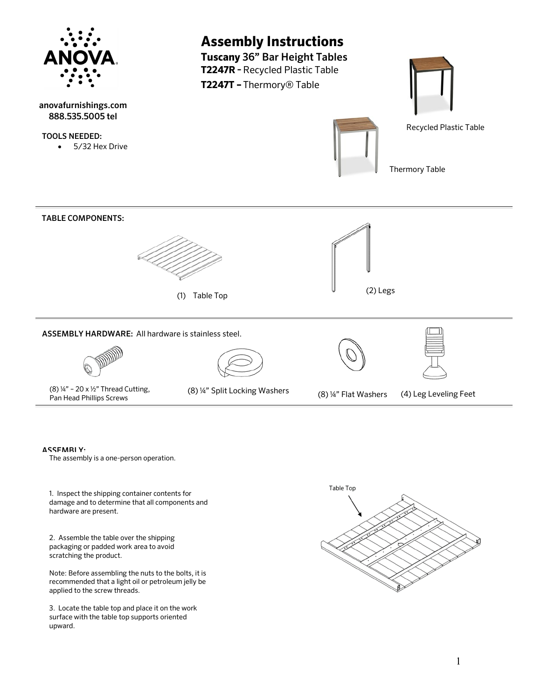

- ASSEMBLY:
	- The assembly is a one-person operation.

1. Inspect the shipping container contents for damage and to determine that all components and hardware are present.

2. Assemble the table over the shipping packaging or padded work area to avoid scratching the product.

Note: Before assembling the nuts to the bolts, it is recommended that a light oil or petroleum jelly be applied to the screw threads.

3. Locate the table top and place it on the work surface with the table top supports oriented upward.